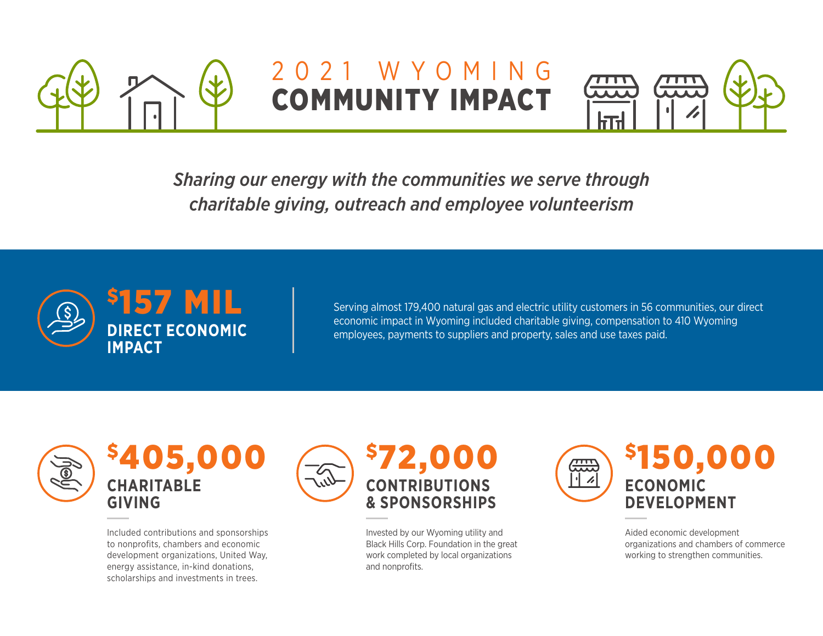

## 2021 WYOMING COMMUNITY IMPACT



*Sharing our energy with the communities we serve through charitable giving, outreach and employee volunteerism*



Serving almost 179,400 natural gas and electric utility customers in 56 communities, our direct economic impact in Wyoming included charitable giving, compensation to 410 Wyoming employees, payments to suppliers and property, sales and use taxes paid.



\$405,000 **CHARITABLE GIVING**

Included contributions and sponsorships to nonprofits, chambers and economic development organizations, United Way, energy assistance, in-kind donations, scholarships and investments in trees.



Invested by our Wyoming utility and Black Hills Corp. Foundation in the great work completed by local organizations and nonprofits.



Aided economic development organizations and chambers of commerce working to strengthen communities.